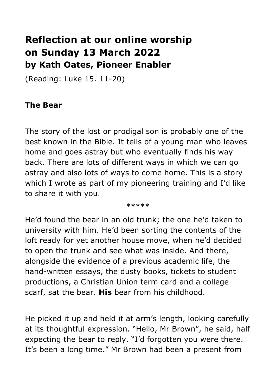## **Reflection at our online worship on Sunday 13 March 2022 by Kath Oates, Pioneer Enabler**

(Reading: Luke 15. 11-20)

## **The Bear**

The story of the lost or prodigal son is probably one of the best known in the Bible. It tells of a young man who leaves home and goes astray but who eventually finds his way back. There are lots of different ways in which we can go astray and also lots of ways to come home. This is a story which I wrote as part of my pioneering training and I'd like to share it with you.

\*\*\*\*\*

He'd found the bear in an old trunk; the one he'd taken to university with him. He'd been sorting the contents of the loft ready for yet another house move, when he'd decided to open the trunk and see what was inside. And there, alongside the evidence of a previous academic life, the hand-written essays, the dusty books, tickets to student productions, a Christian Union term card and a college scarf, sat the bear. **His** bear from his childhood.

He picked it up and held it at arm's length, looking carefully at its thoughtful expression. "Hello, Mr Brown", he said, half expecting the bear to reply. "I'd forgotten you were there. It's been a long time." Mr Brown had been a present from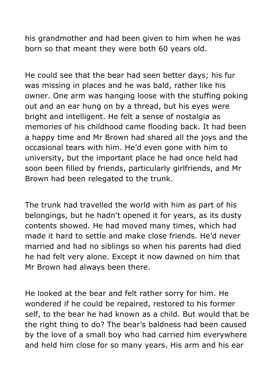his grandmother and had been given to him when he was born so that meant they were both 60 years old.

He could see that the bear had seen better days; his fur was missing in places and he was bald, rather like his owner. One arm was hanging loose with the stuffing poking out and an ear hung on by a thread, but his eyes were bright and intelligent. He felt a sense of nostalgia as memories of his childhood came flooding back. It had been a happy time and Mr Brown had shared all the joys and the occasional tears with him. He'd even gone with him to university, but the important place he had once held had soon been filled by friends, particularly girlfriends, and Mr Brown had been relegated to the trunk.

The trunk had travelled the world with him as part of his belongings, but he hadn't opened it for years, as its dusty contents showed. He had moved many times, which had made it hard to settle and make close friends. He'd never married and had no siblings so when his parents had died he had felt very alone. Except it now dawned on him that Mr Brown had always been there.

He looked at the bear and felt rather sorry for him. He wondered if he could be repaired, restored to his former self, to the bear he had known as a child. But would that be the right thing to do? The bear's baldness had been caused by the love of a small boy who had carried him everywhere and held him close for so many years. His arm and his ear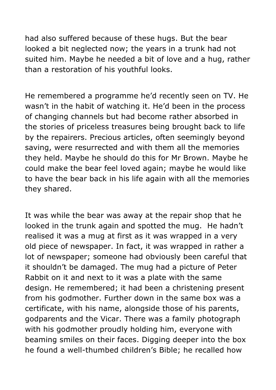had also suffered because of these hugs. But the bear looked a bit neglected now; the years in a trunk had not suited him. Maybe he needed a bit of love and a hug, rather than a restoration of his youthful looks.

He remembered a programme he'd recently seen on TV. He wasn't in the habit of watching it. He'd been in the process of changing channels but had become rather absorbed in the stories of priceless treasures being brought back to life by the repairers. Precious articles, often seemingly beyond saving, were resurrected and with them all the memories they held. Maybe he should do this for Mr Brown. Maybe he could make the bear feel loved again; maybe he would like to have the bear back in his life again with all the memories they shared.

It was while the bear was away at the repair shop that he looked in the trunk again and spotted the mug. He hadn't realised it was a mug at first as it was wrapped in a very old piece of newspaper. In fact, it was wrapped in rather a lot of newspaper; someone had obviously been careful that it shouldn't be damaged. The mug had a picture of Peter Rabbit on it and next to it was a plate with the same design. He remembered; it had been a christening present from his godmother. Further down in the same box was a certificate, with his name, alongside those of his parents, godparents and the Vicar. There was a family photograph with his godmother proudly holding him, everyone with beaming smiles on their faces. Digging deeper into the box he found a well-thumbed children's Bible; he recalled how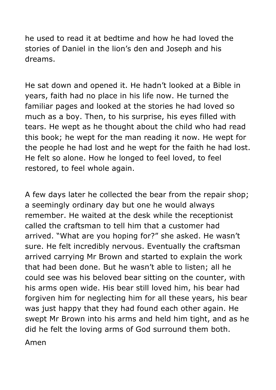he used to read it at bedtime and how he had loved the stories of Daniel in the lion's den and Joseph and his dreams.

He sat down and opened it. He hadn't looked at a Bible in years, faith had no place in his life now. He turned the familiar pages and looked at the stories he had loved so much as a boy. Then, to his surprise, his eyes filled with tears. He wept as he thought about the child who had read this book; he wept for the man reading it now. He wept for the people he had lost and he wept for the faith he had lost. He felt so alone. How he longed to feel loved, to feel restored, to feel whole again.

A few days later he collected the bear from the repair shop; a seemingly ordinary day but one he would always remember. He waited at the desk while the receptionist called the craftsman to tell him that a customer had arrived. "What are you hoping for?" she asked. He wasn't sure. He felt incredibly nervous. Eventually the craftsman arrived carrying Mr Brown and started to explain the work that had been done. But he wasn't able to listen; all he could see was his beloved bear sitting on the counter, with his arms open wide. His bear still loved him, his bear had forgiven him for neglecting him for all these years, his bear was just happy that they had found each other again. He swept Mr Brown into his arms and held him tight, and as he did he felt the loving arms of God surround them both.

Amen